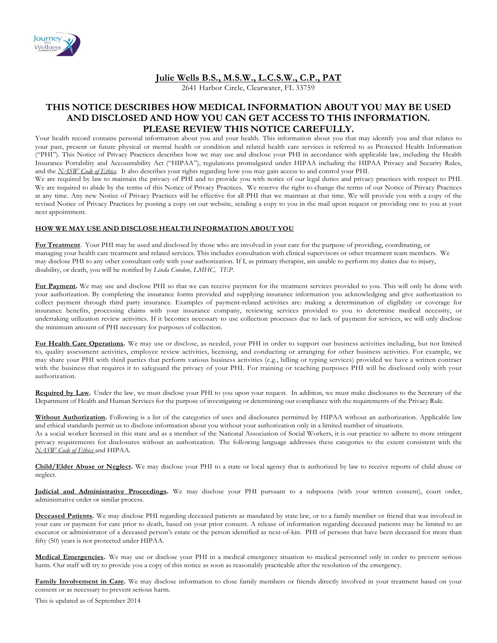

# **Julie Wells B.S., M.S.W., L.C.S.W., C.P., PAT**

2641 Harbor Circle, Clearwater, FL 33759

# **THIS NOTICE DESCRIBES HOW MEDICAL INFORMATION ABOUT YOU MAY BE USED AND DISCLOSED AND HOW YOU CAN GET ACCESS TO THIS INFORMATION. PLEASE REVIEW THIS NOTICE CAREFULLY.**

Your health record contains personal information about you and your health. This information about you that may identify you and that relates to your past, present or future physical or mental health or condition and related health care services is referred to as Protected Health Information ("PHI"). This Notice of Privacy Practices describes how we may use and disclose your PHI in accordance with applicable law, including the Health Insurance Portability and Accountability Act ("HIPAA"), regulations promulgated under HIPAA including the HIPAA Privacy and Security Rules, and the *NASW Code of Ethics*. It also describes your rights regarding how you may gain access to and control your PHI.

We are required by law to maintain the privacy of PHI and to provide you with notice of our legal duties and privacy practices with respect to PHI. We are required to abide by the terms of this Notice of Privacy Practices. We reserve the right to change the terms of our Notice of Privacy Practices at any time. Any new Notice of Privacy Practices will be effective for all PHI that we maintain at that time. We will provide you with a copy of the revised Notice of Privacy Practices by posting a copy on our website, sending a copy to you in the mail upon request or providing one to you at your next appointment.

### **HOW WE MAY USE AND DISCLOSE HEALTH INFORMATION ABOUT YOU**

**For Treatment**. Your PHI may be used and disclosed by those who are involved in your care for the purpose of providing, coordinating, or managing your health care treatment and related services. This includes consultation with clinical supervisors or other treatment team members. We may disclose PHI to any other consultant only with your authorization. If I, as primary therapist, am unable to perform my duties due to injury, disability, or death, you will be notified by *Linda Condon, LMHC, TEP*.

For Payment. We may use and disclose PHI so that we can receive payment for the treatment services provided to you. This will only be done with your authorization. By completing the insurance forms provided and supplying insurance information you acknowledging and give authorization to collect payment through third party insurance. Examples of payment-related activities are: making a determination of eligibility or coverage for insurance benefits, processing claims with your insurance company, reviewing services provided to you to determine medical necessity, or undertaking utilization review activities. If it becomes necessary to use collection processes due to lack of payment for services, we will only disclose the minimum amount of PHI necessary for purposes of collection.

**For Health Care Operations.** We may use or disclose, as needed, your PHI in order to support our business activities including, but not limited to, quality assessment activities, employee review activities, licensing, and conducting or arranging for other business activities. For example, we may share your PHI with third parties that perform various business activities (e.g., billing or typing services) provided we have a written contract with the business that requires it to safeguard the privacy of your PHI. For training or teaching purposes PHI will be disclosed only with your authorization.

**Required by Law.** Under the law, we must disclose your PHI to you upon your request. In addition, we must make disclosures to the Secretary of the Department of Health and Human Services for the purpose of investigating or determining our compliance with the requirements of the Privacy Rule.

**Without Authorization.** Following is a list of the categories of uses and disclosures permitted by HIPAA without an authorization. Applicable law and ethical standards permit us to disclose information about you without your authorization only in a limited number of situations. As a social worker licensed in this state and as a member of the National Association of Social Workers, it is our practice to adhere to more stringent privacy requirements for disclosures without an authorization. The following language addresses these categories to the extent consistent with the *NASW Code of Ethics* and HIPAA.

**Child/Elder Abuse or Neglect.** We may disclose your PHI to a state or local agency that is authorized by law to receive reports of child abuse or neglect.

**Judicial and Administrative Proceedings.** We may disclose your PHI pursuant to a subpoena (with your written consent), court order, administrative order or similar process.

**Deceased Patients.** We may disclose PHI regarding deceased patients as mandated by state law, or to a family member or friend that was involved in your care or payment for care prior to death, based on your prior consent. A release of information regarding deceased patients may be limited to an executor or administrator of a deceased person's estate or the person identified as next-of-kin. PHI of persons that have been deceased for more than fifty (50) years is not protected under HIPAA.

**Medical Emergencies.** We may use or disclose your PHI in a medical emergency situation to medical personnel only in order to prevent serious harm. Our staff will try to provide you a copy of this notice as soon as reasonably practicable after the resolution of the emergency.

**Family Involvement in Care.** We may disclose information to close family members or friends directly involved in your treatment based on your consent or as necessary to prevent serious harm.

This is updated as of September 2014